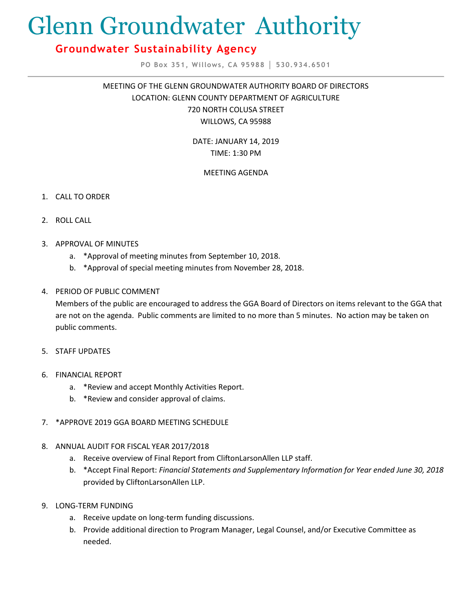# Glenn Groundwater Authority

## **Groundwater Sustainability Agency**

**PO Box 351, Willows, CA 95988 │ 530.934.6501**

MEETING OF THE GLENN GROUNDWATER AUTHORITY BOARD OF DIRECTORS LOCATION: GLENN COUNTY DEPARTMENT OF AGRICULTURE 720 NORTH COLUSA STREET WILLOWS, CA 95988

> DATE: JANUARY 14, 2019 TIME: 1:30 PM

### MEETING AGENDA

- 1. CALL TO ORDER
- 2. ROLL CALL
- 3. APPROVAL OF MINUTES
	- a. \*Approval of meeting minutes from September 10, 2018.
	- b. \*Approval of special meeting minutes from November 28, 2018.
- 4. PERIOD OF PUBLIC COMMENT

Members of the public are encouraged to address the GGA Board of Directors on items relevant to the GGA that are not on the agenda. Public comments are limited to no more than 5 minutes. No action may be taken on public comments.

- 5. STAFF UPDATES
- 6. FINANCIAL REPORT
	- a. \*Review and accept Monthly Activities Report.
	- b. \*Review and consider approval of claims.
- 7. \*APPROVE 2019 GGA BOARD MEETING SCHEDULE
- 8. ANNUAL AUDIT FOR FISCAL YEAR 2017/2018
	- a. Receive overview of Final Report from CliftonLarsonAllen LLP staff.
	- b. \*Accept Final Report: *Financial Statements and Supplementary Information for Year ended June 30, 2018* provided by CliftonLarsonAllen LLP.
- 9. LONG-TERM FUNDING
	- a. Receive update on long-term funding discussions.
	- b. Provide additional direction to Program Manager, Legal Counsel, and/or Executive Committee as needed.